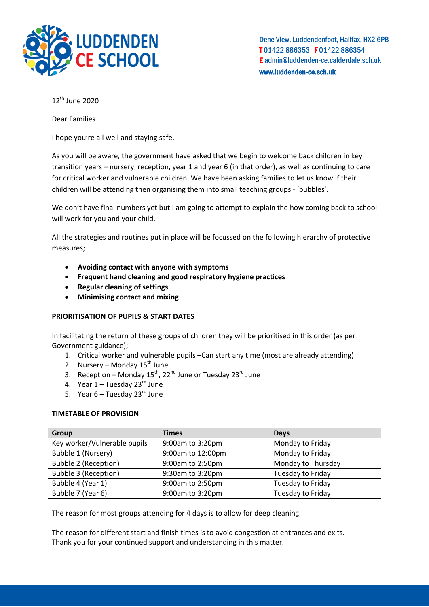

Dene View, Luddendenfoot, Halifax, HX2 6PB T 01422 886353 F 01422 886354 E admin@luddenden-ce.calderdale.sch.uk www.luddenden-ce.sch.uk

 $12^{th}$  June 2020

Dear Families

I hope you're all well and staying safe.

As you will be aware, the government have asked that we begin to welcome back children in key transition years – nursery, reception, year 1 and year 6 (in that order), as well as continuing to care for critical worker and vulnerable children. We have been asking families to let us know if their children will be attending then organising them into small teaching groups - 'bubbles'.

We don't have final numbers yet but I am going to attempt to explain the how coming back to school will work for you and your child.

All the strategies and routines put in place will be focussed on the following hierarchy of protective measures;

- **Avoiding contact with anyone with symptoms**
- **Frequent hand cleaning and good respiratory hygiene practices**
- **Regular cleaning of settings**
- **Minimising contact and mixing**

### **PRIORITISATION OF PUPILS & START DATES**

In facilitating the return of these groups of children they will be prioritised in this order (as per Government guidance);

- 1. Critical worker and vulnerable pupils –Can start any time (most are already attending)
- 2. Nursery Monday  $15^{th}$  June
- 3. Reception Monday 15<sup>th</sup>, 22<sup>nd</sup> June or Tuesday 23<sup>rd</sup> June
- 4. Year  $1 -$  Tuesday 23 $^{rd}$  June
- 5. Year  $6 -$  Tuesday 23 $^{rd}$  June

### **TIMETABLE OF PROVISION**

| Group                        | <b>Times</b>      | <b>Days</b>        |
|------------------------------|-------------------|--------------------|
| Key worker/Vulnerable pupils | 9:00am to 3:20pm  | Monday to Friday   |
| Bubble 1 (Nursery)           | 9:00am to 12:00pm | Monday to Friday   |
| <b>Bubble 2 (Reception)</b>  | 9:00am to 2:50pm  | Monday to Thursday |
| <b>Bubble 3 (Reception)</b>  | 9:30am to 3:20pm  | Tuesday to Friday  |
| Bubble 4 (Year 1)            | 9:00am to 2:50pm  | Tuesday to Friday  |
| Bubble 7 (Year 6)            | 9:00am to 3:20pm  | Tuesday to Friday  |

The reason for most groups attending for 4 days is to allow for deep cleaning.

The reason for different start and finish times is to avoid congestion at entrances and exits. Thank you for your continued support and understanding in this matter.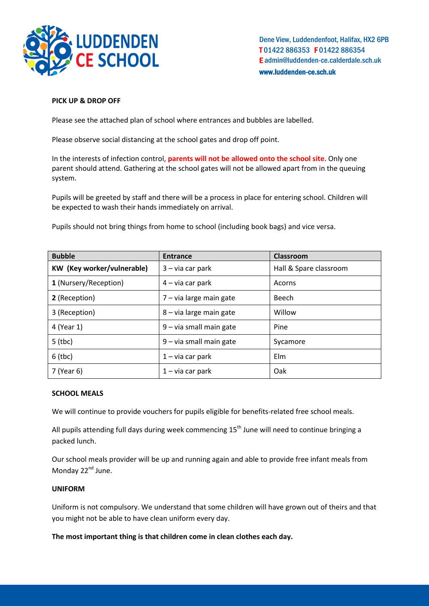

Dene View, Luddendenfoot, Halifax, HX2 6PB T 01422 886353 F 01422 886354 E admin@luddenden-ce.calderdale.sch.uk www.luddenden-ce.sch.uk

## **PICK UP & DROP OFF**

Please see the attached plan of school where entrances and bubbles are labelled.

Please observe social distancing at the school gates and drop off point.

In the interests of infection control, **parents will not be allowed onto the school site**. Only one parent should attend. Gathering at the school gates will not be allowed apart from in the queuing system.

Pupils will be greeted by staff and there will be a process in place for entering school. Children will be expected to wash their hands immediately on arrival.

Pupils should not bring things from home to school (including book bags) and vice versa.

| <b>Bubble</b>                     | <b>Entrance</b>           | Classroom              |
|-----------------------------------|---------------------------|------------------------|
| <b>KW</b> (Key worker/vulnerable) | $3 - via car park$        | Hall & Spare classroom |
| 1 (Nursery/Reception)             | $4 - via car park$        | Acorns                 |
| 2 (Reception)                     | 7 - via large main gate   | Beech                  |
| 3 (Reception)                     | 8 – via large main gate   | Willow                 |
| 4 (Year 1)                        | $9$ – via small main gate | Pine                   |
| $5$ (tbc)                         | $9$ – via small main gate | Sycamore               |
| $6$ (tbc)                         | $1 - via car park$        | Elm                    |
| 7 (Year 6)                        | $1 - via car park$        | Oak                    |

### **SCHOOL MEALS**

We will continue to provide vouchers for pupils eligible for benefits-related free school meals.

All pupils attending full days during week commencing  $15<sup>th</sup>$  June will need to continue bringing a packed lunch.

Our school meals provider will be up and running again and able to provide free infant meals from Monday 22<sup>nd</sup> June.

### **UNIFORM**

Uniform is not compulsory. We understand that some children will have grown out of theirs and that you might not be able to have clean uniform every day.

**The most important thing is that children come in clean clothes each day.**